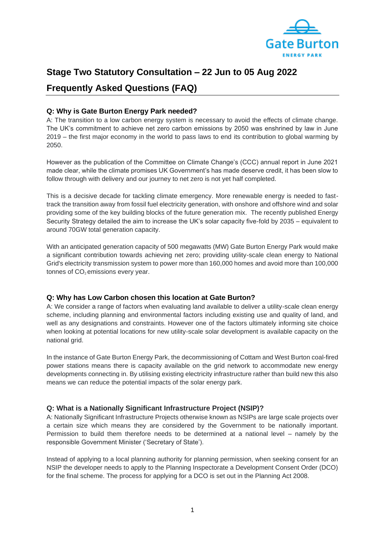

# **Stage Two Statutory Consultation – 22 Jun to 05 Aug 2022**

## **Frequently Asked Questions (FAQ)**

## **Q: Why is Gate Burton Energy Park needed?**

A: The transition to a low carbon energy system is necessary to avoid the effects of climate change. The UK's commitment to achieve net zero carbon emissions by 2050 was enshrined by law in June 2019 – the first major economy in the world to pass laws to end its contribution to global warming by 2050.

However as the publication of the Committee on Climate Change's (CCC) annual report in June 2021 made clear, while the climate promises UK Government's has made deserve credit, it has been slow to follow through with delivery and our journey to net zero is not yet half completed.

This is a decisive decade for tackling climate emergency. More renewable energy is needed to fasttrack the transition away from fossil fuel electricity generation, with onshore and offshore wind and solar providing some of the key building blocks of the future generation mix. The recently published Energy Security Strategy detailed the aim to increase the UK's solar capacity five-fold by 2035 – equivalent to around 70GW total generation capacity.

With an anticipated generation capacity of 500 megawatts (MW) Gate Burton Energy Park would make a significant contribution towards achieving net zero; providing utility-scale clean energy to National Grid's electricity transmission system to power more than 160,000 homes and avoid more than 100,000 tonnes of CO<sub>2</sub> emissions every year.

#### **Q: Why has Low Carbon chosen this location at Gate Burton?**

A: We consider a range of factors when evaluating land available to deliver a utility-scale clean energy scheme, including planning and environmental factors including existing use and quality of land, and well as any designations and constraints. However one of the factors ultimately informing site choice when looking at potential locations for new utility-scale solar development is available capacity on the national grid.

In the instance of Gate Burton Energy Park, the decommissioning of Cottam and West Burton coal-fired power stations means there is capacity available on the grid network to accommodate new energy developments connecting in. By utilising existing electricity infrastructure rather than build new this also means we can reduce the potential impacts of the solar energy park.

## **Q: What is a Nationally Significant Infrastructure Project (NSIP)?**

A: Nationally Significant Infrastructure Projects otherwise known as NSIPs are large scale projects over a certain size which means they are considered by the Government to be nationally important. Permission to build them therefore needs to be determined at a national level – namely by the responsible Government Minister ('Secretary of State').

Instead of applying to a local planning authority for planning permission, when seeking consent for an NSIP the developer needs to apply to the Planning Inspectorate a Development Consent Order (DCO) for the final scheme. The process for applying for a DCO is set out in the Planning Act 2008.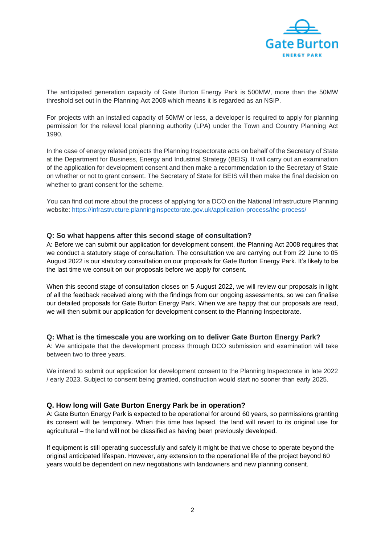

The anticipated generation capacity of Gate Burton Energy Park is 500MW, more than the 50MW threshold set out in the Planning Act 2008 which means it is regarded as an NSIP.

For projects with an installed capacity of 50MW or less, a developer is required to apply for planning permission for the relevel local planning authority (LPA) under the Town and Country Planning Act 1990.

In the case of energy related projects the Planning Inspectorate acts on behalf of the Secretary of State at the Department for Business, Energy and Industrial Strategy (BEIS). It will carry out an examination of the application for development consent and then make a recommendation to the Secretary of State on whether or not to grant consent. The Secretary of State for BEIS will then make the final decision on whether to grant consent for the scheme.

You can find out more about the process of applying for a DCO on the National Infrastructure Planning website:<https://infrastructure.planninginspectorate.gov.uk/application-process/the-process/>

#### **Q: So what happens after this second stage of consultation?**

A: Before we can submit our application for development consent, the Planning Act 2008 requires that we conduct a statutory stage of consultation. The consultation we are carrying out from 22 June to 05 August 2022 is our statutory consultation on our proposals for Gate Burton Energy Park. It's likely to be the last time we consult on our proposals before we apply for consent.

When this second stage of consultation closes on 5 August 2022, we will review our proposals in light of all the feedback received along with the findings from our ongoing assessments, so we can finalise our detailed proposals for Gate Burton Energy Park. When we are happy that our proposals are read, we will then submit our application for development consent to the Planning Inspectorate.

#### **Q: What is the timescale you are working on to deliver Gate Burton Energy Park?**

A: We anticipate that the development process through DCO submission and examination will take between two to three years.

We intend to submit our application for development consent to the Planning Inspectorate in late 2022 / early 2023. Subject to consent being granted, construction would start no sooner than early 2025.

#### **Q. How long will Gate Burton Energy Park be in operation?**

A: Gate Burton Energy Park is expected to be operational for around 60 years, so permissions granting its consent will be temporary. When this time has lapsed, the land will revert to its original use for agricultural – the land will not be classified as having been previously developed.

If equipment is still operating successfully and safely it might be that we chose to operate beyond the original anticipated lifespan. However, any extension to the operational life of the project beyond 60 years would be dependent on new negotiations with landowners and new planning consent.